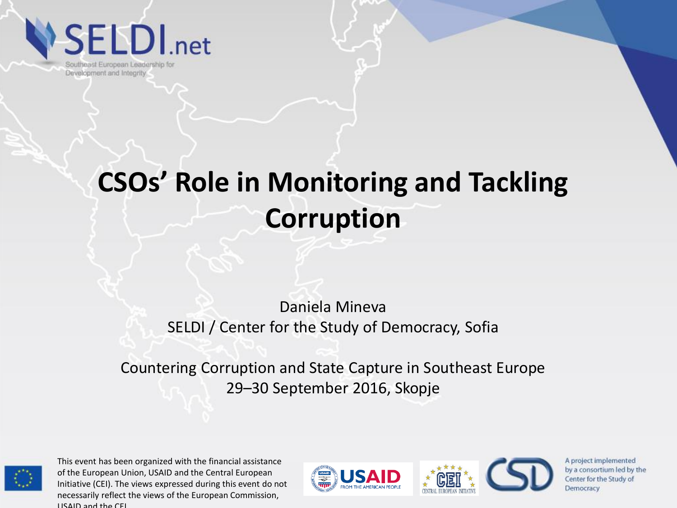**SELDI**.net

Southeast European Leadership for Development and Integrity

## **CSOs' Role in Monitoring and Tackling Corruption**

#### Daniela Mineva SELDI / Center for the Study of Democracy, Sofia

Countering Corruption and State Capture in Southeast Europe 29–30 September 2016, Skopje



This event has been organized with the financial assistance of the European Union, USAID and the Central European Initiative (CEI). The views expressed during this event do not necessarily reflect the views of the European Commission, USAID and the CEI.

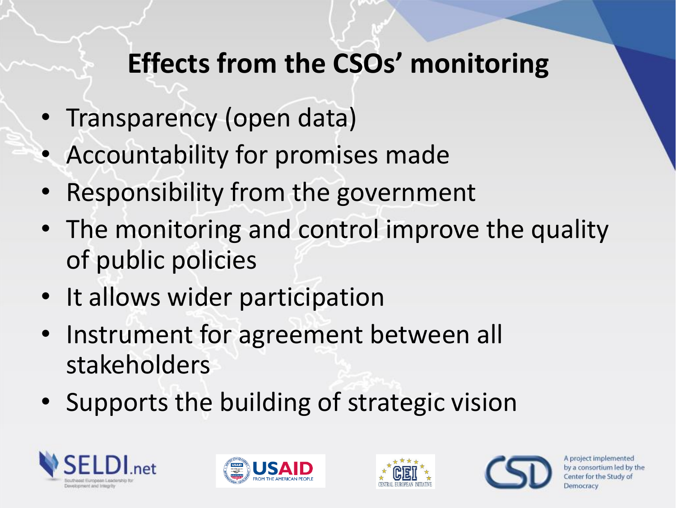### **Effects from the CSOs' monitoring**

- Transparency (open data)
- Accountability for promises made
- Responsibility from the government
- The monitoring and control improve the quality of public policies
- It allows wider participation
- Instrument for agreement between all stakeholders
- Supports the building of strategic vision







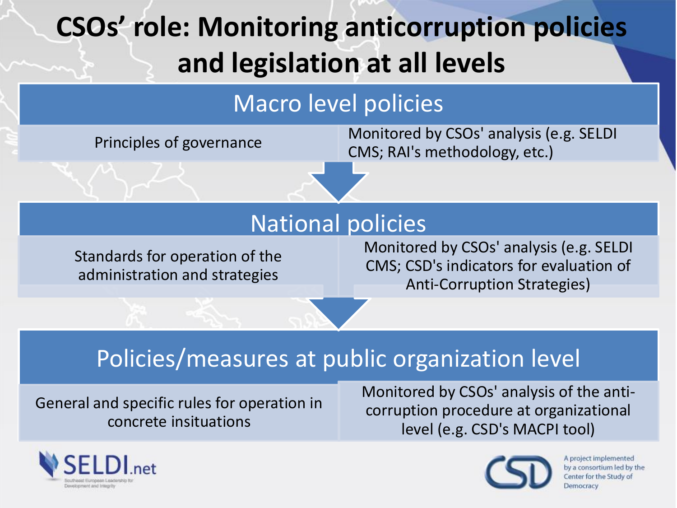# **CSOs' role: Monitoring anticorruption policies and legislation at all levels**

#### Macro level policies

Principles of governance [Monitored by CSOs' analysis \(e.g. SELDI](http://rai-see.org/wp-content/uploads/2015/05/Methodology_on_Monitoring_2015.pdf)  CMS; RAI's methodology, etc.)

#### National policies

Standards for operation of the administration and strategies

#### Monitored by CSOs' analysis (e.g. SELDI CMS; CSD's indicators for evaluation of Anti-Corruption Strategies)

#### Policies/measures at public organization level

General and specific rules for operation in concrete insituations

Monitored by CSOs' analysis of the anticorruption procedure at organizational level (e.g. CSD's MACPI tool)



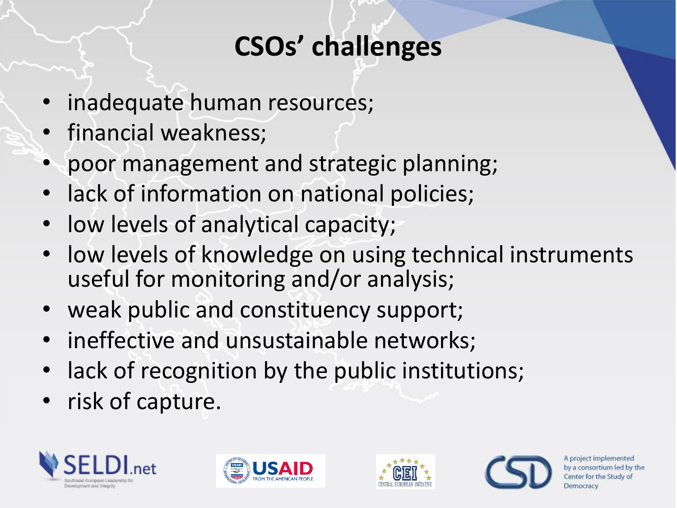### **CSOs' challenges**

- inadequate human resources;
- financial weakness;
- poor management and strategic planning;
- lack of information on national policies;
- low levels of analytical capacity;
- low levels of knowledge on using technical instruments useful for monitoring and/or analysis;
- weak public and constituency support;
- ineffective and unsustainable networks;
- lack of recognition by the public institutions;
- risk of capture.







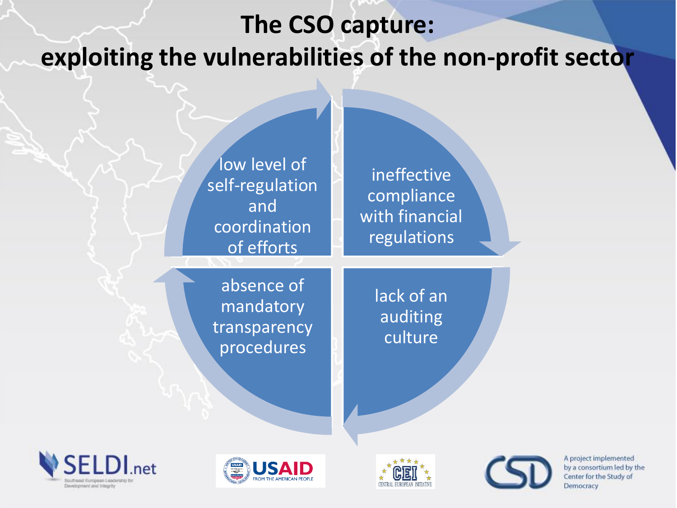### **The CSO capture: exploiting the vulnerabilities of the non-profit sector**

ineffective compliance with financial regulations low level of self-regulation and coordination of efforts

absence of mandatory

transparency procedures



lack of an

auditing

culture





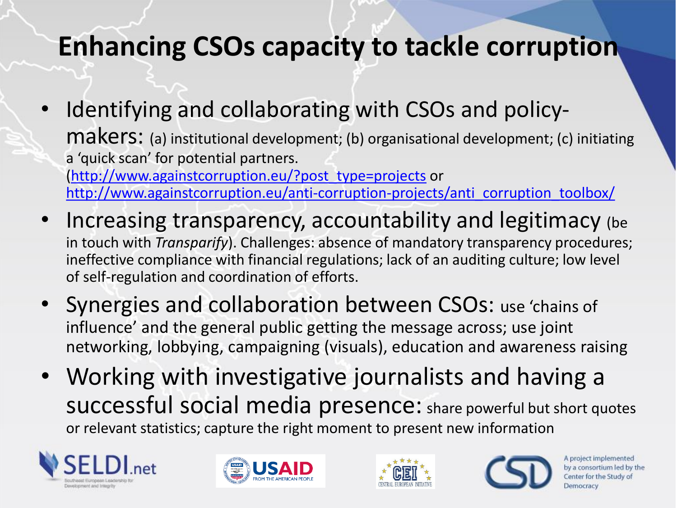### **Enhancing CSOs capacity to tackle corruption**

- Identifying and collaborating with CSOs and policymakers: (a) institutional development; (b) organisational development; (c) initiating a 'quick scan' for potential partners. [\(http://www.againstcorruption.eu/?post\\_type=projects](http://www.againstcorruption.eu/?post_type=projects) or [http://www.againstcorruption.eu/anti-corruption-projects/anti\\_corruption\\_toolbox/](http://www.againstcorruption.eu/anti-corruption-projects/anti_corruption_toolbox/)
- Increasing transparency, accountability and legitimacy (be in touch with *Transparify*). Challenges: absence of mandatory transparency procedures; ineffective compliance with financial regulations; lack of an auditing culture; low level of self-regulation and coordination of efforts.
- Synergies and collaboration between CSOs: use 'chains of influence' and the general public getting the message across; use joint networking, lobbying, campaigning (visuals), education and awareness raising
- Working with investigative journalists and having a successful social media presence: share powerful but short quotes or relevant statistics; capture the right moment to present new information







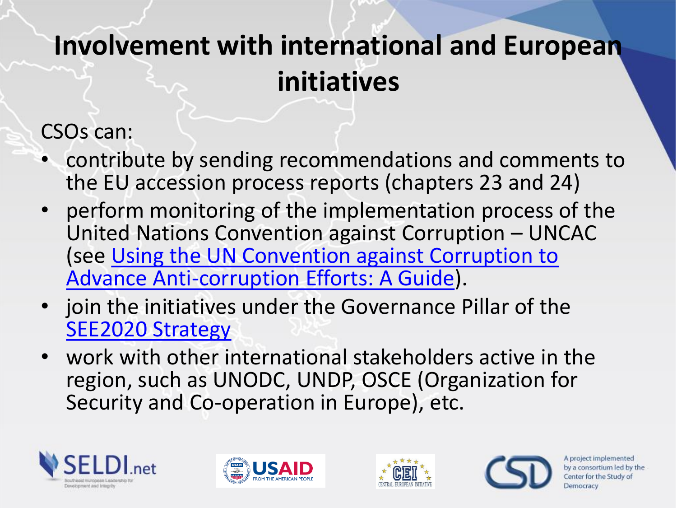### **Involvement with international and European initiatives**

CSOs can:

- contribute by sending recommendations and comments to the EU accession process reports (chapters 23 and 24)
- perform monitoring of the implementation process of the United Nations Convention against Corruption – UNCAC [\(see Using the UN Convention against Corruption to](http://uncaccoalition.org/resources/uncac-guide/uncac-advance-anti-corruption-efforts-guide-en.pdf) Advance Anti-corruption Efforts: A Guide).
- join the initiatives under the Governance Pillar of the [SEE2020 Strategy](http://www.rcc.int/pages/62/south-east-europe-2020-strategy)
- work with other international stakeholders active in the region, such as UNODC, UNDP, OSCE (Organization for Security and Co-operation in Europe), etc.







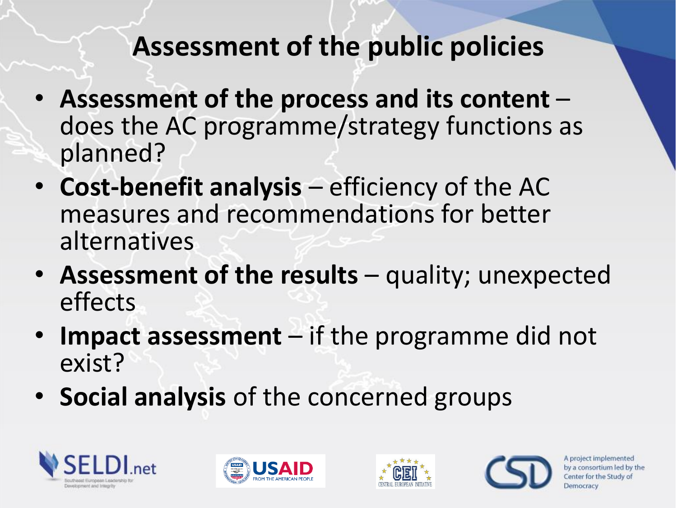### **Assessment of the public policies**

- **Assessment of the process and its content**  does the AC programme/strategy functions as planned?
- **Cost-benefit analysis** efficiency of the AC measures and recommendations for better alternatives
- Assessment of the results quality; unexpected effects
- **Impact assessment**  if the programme did not exist?
- **Social analysis** of the concerned groups







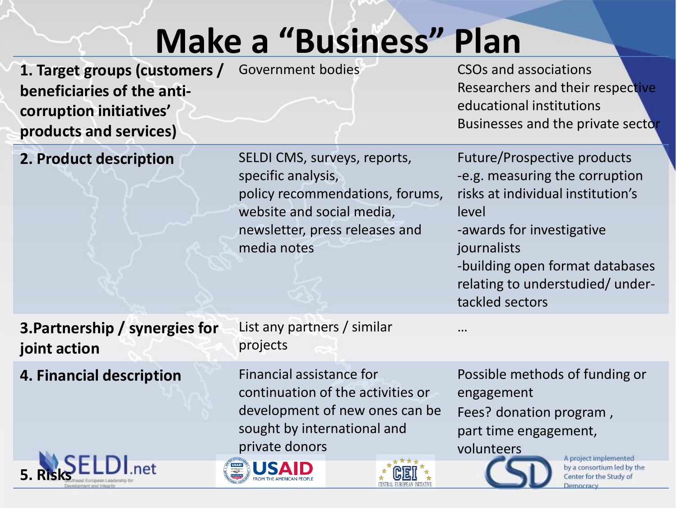# **Make a "Business" Plan**

- **1. Target groups (customers / beneficiaries of the anticorruption initiatives' products and services)**
- Government bodies CSOs and associations Researchers and their respective educational institutions Businesses and the private sector

Future/Prospective products **2. Product description SELDI CMS, surveys, reports,** specific analysis, -e.g. measuring the corruption risks at individual institution's policy recommendations, forums, website and social media, level newsletter, press releases and -awards for investigative media notes journalists -building open format databases relating to understudied/ undertackled sectors … **3.Partnership / synergies for**  List any partners / similar projects **joint action 4. Financial description** Financial assistance for Possible methods of funding or continuation of the activities or engagement development of new ones can be Fees? donation program , sought by international and part time engagement, private donors volunteers A project implemented 15 A by a consortium led by the **5. Risks**Center for the Study of Democracy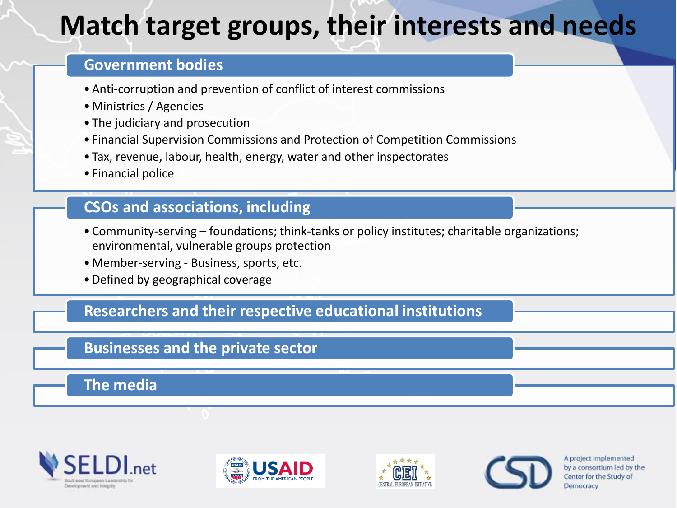### **Match target groups, their interests and needs**

#### **Government bodies**

- •Anti-corruption and prevention of conflict of interest commissions
- Ministries / Agencies
- The judiciary and prosecution
- Financial Supervision Commissions and Protection of Competition Commissions
- Tax, revenue, labour, health, energy, water and other inspectorates
- Financial police

#### **CSOs and associations, including**

- Community-serving foundations; think-tanks or policy institutes; charitable organizations; environmental, vulnerable groups protection
- Member-serving Business, sports, etc.
- •Defined by geographical coverage

#### **Researchers and their respective educational institutions**

#### **Businesses and the private sector**

#### **The media**







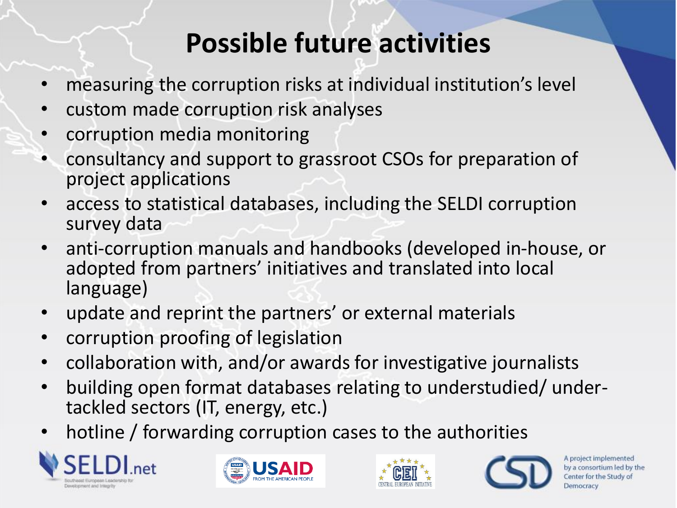### **Possible future activities**

- measuring the corruption risks at individual institution's level
- custom made corruption risk analyses
- corruption media monitoring
- consultancy and support to grassroot CSOs for preparation of project applications
- access to statistical databases, including the SELDI corruption survey data
- anti-corruption manuals and handbooks (developed in-house, or adopted from partners' initiatives and translated into local language)
- update and reprint the partners' or external materials
- corruption proofing of legislation
- collaboration with, and/or awards for investigative journalists
- building open format databases relating to understudied/ undertackled sectors (IT, energy, etc.)
- hotline / forwarding corruption cases to the authorities







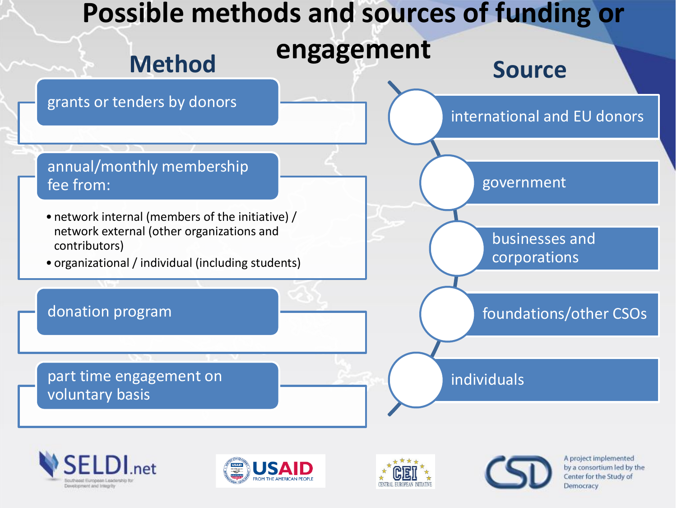







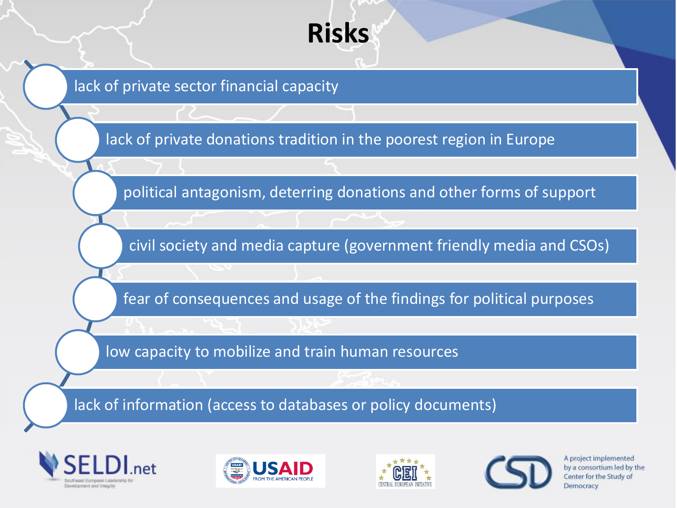

lack of private sector financial capacity

lack of private donations tradition in the poorest region in Europe

political antagonism, deterring donations and other forms of support

civil society and media capture (government friendly media and CSOs)

fear of consequences and usage of the findings for political purposes

low capacity to mobilize and train human resources

lack of information (access to databases or policy documents)